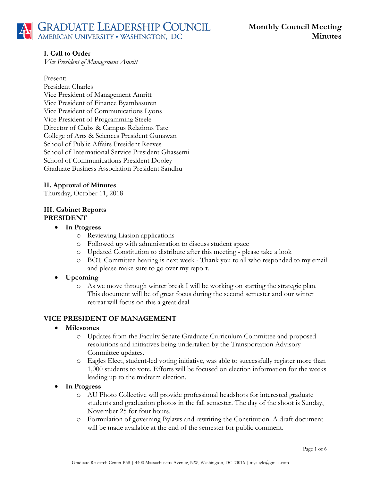## **I. Call to Order**

*Vice President of Management Amritt*

#### Present:

President Charles Vice President of Management Amritt Vice President of Finance Byambasuren Vice President of Communications Lyons Vice President of Programming Steele Director of Clubs & Campus Relations Tate College of Arts & Sciences President Gunawan School of Public Affairs President Reeves School of International Service President Ghassemi School of Communications President Dooley Graduate Business Association President Sandhu

## **II. Approval of Minutes**

Thursday, October 11, 2018

## **III. Cabinet Reports PRESIDENT**

- **In Progress**
	- o Reviewing Liasion applications
	- o Followed up with administration to discuss student space
	- o Updated Constitution to distribute after this meeting please take a look
	- o BOT Committee hearing is next week Thank you to all who responded to my email and please make sure to go over my report.

## • **Upcoming**

o As we move through winter break I will be working on starting the strategic plan. This document will be of great focus during the second semester and our winter retreat will focus on this a great deal.

## **VICE PRESIDENT OF MANAGEMENT**

#### • **Milestones**

- o Updates from the Faculty Senate Graduate Curriculum Committee and proposed resolutions and initiatives being undertaken by the Transportation Advisory Committee updates.
- o Eagles Elect, student-led voting initiative, was able to successfully register more than 1,000 students to vote. Efforts will be focused on election information for the weeks leading up to the midterm election.
- **In Progress**
	- o AU Photo Collective will provide professional headshots for interested graduate students and graduation photos in the fall semester. The day of the shoot is Sunday, November 25 for four hours.
	- o Formulation of governing Bylaws and rewriting the Constitution. A draft document will be made available at the end of the semester for public comment.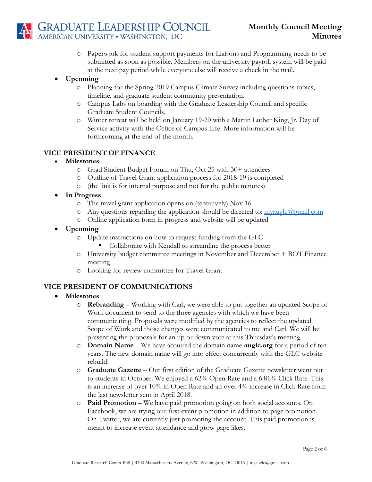

- o Paperwork for student support payments for Liaisons and Programming needs to be submitted as soon as possible. Members on the university payroll system will be paid at the next pay period while everyone else will receive a check in the mail.
- **Upcoming**
	- o Planning for the Spring 2019 Campus Climate Survey including questions topics, timeline, and graduate student community presentation.
	- o Campus Labs on boarding with the Graduate Leadership Council and specific Graduate Student Councils.
	- o Winter retreat will be held on January 19-20 with a Martin Luther King, Jr. Day of Service activity with the Office of Campus Life. More information will be forthcoming at the end of the month.

#### **VICE PRESIDENT OF FINANCE**

- **Milestones** 
	- o Grad Student Budget Forum on Thu, Oct 25 with 30+ attendees
	- o Outline of Travel Grant application process for 2018-19 is completed
	- o (the link is for internal purpose and not for the public minutes)
- **In Progress**
	- o The travel grant application opens on (tentatively) Nov 16
	- $\circ$  Any questions regarding the application should be directed to:  $m$  y and  $m$  and  $m$
	- o Online application form in progress and website will be updated
- **Upcoming** 
	- o Update instructions on how to request funding from the GLC
		- Collaborate with Kendall to streamline the process better
	- o University budget committee meetings in November and December + BOT Finance meeting
	- o Looking for review committee for Travel Grant

## **VICE PRESIDENT OF COMMUNICATIONS**

- **Milestones** 
	- o **Rebranding** Working with Carl, we were able to put together an updated Scope of Work document to send to the three agencies with which we have been communicating. Proposals were modified by the agencies to reflect the updated Scope of Work and those changes were communicated to me and Carl. We will be presenting the proposals for an up or down vote at this Thursday's meeting.
	- o **Domain Name** We have acquired the domain name **auglc.org** for a period of ten years. The new domain name will go into effect concurrently with the GLC website rebuild.
	- o **Graduate Gazette** Our first edition of the Graduate Gazette newsletter went out to students in October. We enjoyed a 62% Open Rate and a 6.81% Click Rate. This is an increase of over 10% in Open Rate and an over 4% increase in Click Rate from the last newsletter sent in April 2018.
	- o **Paid Promotion**  We have paid promotion going on both social accounts. On Facebook, we are trying our first event promotion in addition to page promotion. On Twitter, we are currently just promoting the account. This paid promotion is meant to increase event attendance and grow page likes.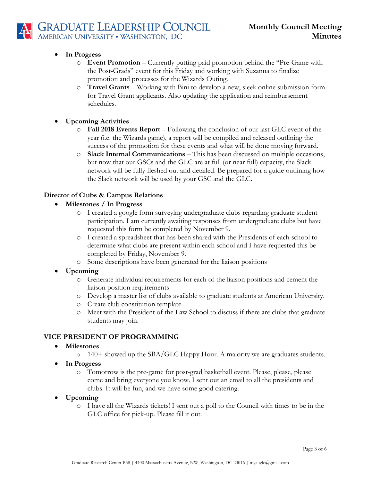## • **In Progress**

- o **Event Promotion** Currently putting paid promotion behind the "Pre-Game with the Post-Grads" event for this Friday and working with Suzanna to finalize promotion and processes for the Wizards Outing.
- o **Travel Grants** Working with Bini to develop a new, sleek online submission form for Travel Grant applicants. Also updating the application and reimbursement schedules.
- **Upcoming Activities**
	- o **Fall 2018 Events Report** Following the conclusion of our last GLC event of the year (i.e. the Wizards game), a report will be compiled and released outlining the success of the promotion for these events and what will be done moving forward.
	- o **Slack Internal Communications** This has been discussed on multiple occasions, but now that our GSCs and the GLC are at full (or near full) capacity, the Slack network will be fully fleshed out and detailed. Be prepared for a guide outlining how the Slack network will be used by your GSC and the GLC.

## **Director of Clubs & Campus Relations**

- **Milestones / In Progress**
	- o I created a google form surveying undergraduate clubs regarding graduate student participation. I am currently awaiting responses from undergraduate clubs but have requested this form be completed by November 9.
	- o I created a spreadsheet that has been shared with the Presidents of each school to determine what clubs are present within each school and I have requested this be completed by Friday, November 9.
	- o Some descriptions have been generated for the liaison positions
- **Upcoming**
	- o Generate individual requirements for each of the liaison positions and cement the liaison position requirements
	- o Develop a master list of clubs available to graduate students at American University.
	- o Create club constitution template
	- o Meet with the President of the Law School to discuss if there are clubs that graduate students may join.

## **VICE PRESIDENT OF PROGRAMMING**

- **Milestones**
	- o 140+ showed up the SBA/GLC Happy Hour. A majority we are graduates students.
- **In Progress**
	- o Tomorrow is the pre-game for post-grad basketball event. Please, please, please come and bring everyone you know. I sent out an email to all the presidents and clubs. It will be fun, and we have some good catering.
- **Upcoming**
	- o I have all the Wizards tickets! I sent out a poll to the Council with times to be in the GLC office for pick-up. Please fill it out.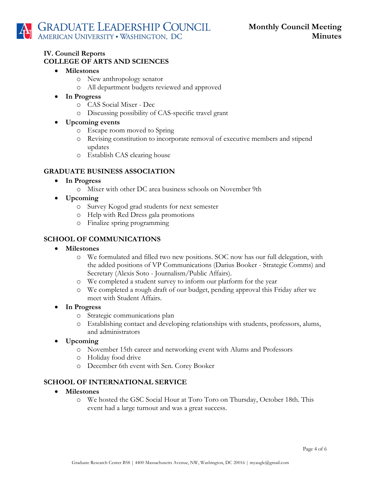#### **IV. Council Reports COLLEGE OF ARTS AND SCIENCES**

- **Milestones** 
	- o New anthropology senator
	- o All department budgets reviewed and approved
- **In Progress**
	- o CAS Social Mixer Dec
	- o Discussing possibility of CAS-specific travel grant
- **Upcoming events**
	- o Escape room moved to Spring
	- o Revising constitution to incorporate removal of executive members and stipend updates
	- o Establish CAS clearing house

#### **GRADUATE BUSINESS ASSOCIATION**

- **In Progress**
	- o Mixer with other DC area business schools on November 9th
- **Upcoming**
	- o Survey Kogod grad students for next semester
	- o Help with Red Dress gala promotions
	- o Finalize spring programming

#### **SCHOOL OF COMMUNICATIONS**

- **Milestones**
	- o We formulated and filled two new positions. SOC now has our full delegation, with the added positions of VP Communications (Darius Booker - Strategic Comms) and Secretary (Alexis Soto - Journalism/Public Affairs).
	- o We completed a student survey to inform our platform for the year
	- o We completed a rough draft of our budget, pending approval this Friday after we meet with Student Affairs.
- **In Progress**
	- o Strategic communications plan
	- o Establishing contact and developing relationships with students, professors, alums, and administrators
- **Upcoming**
	- o November 15th career and networking event with Alums and Professors
	- o Holiday food drive
	- o December 6th event with Sen. Corey Booker

#### **SCHOOL OF INTERNATIONAL SERVICE**

- **Milestones**
	- o We hosted the GSC Social Hour at Toro Toro on Thursday, October 18th. This event had a large turnout and was a great success.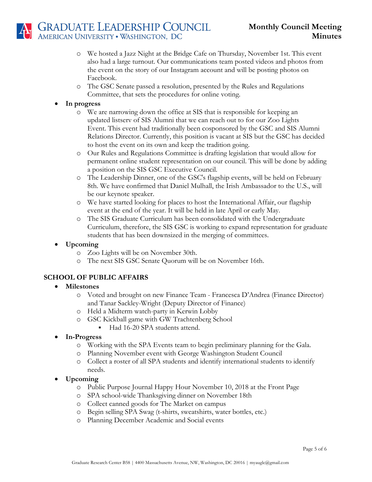# GRADUATE LEADERSHIP COUNCIL<br>AMERICAN UNIVERSITY • WASHINGTON, DC

- o We hosted a Jazz Night at the Bridge Cafe on Thursday, November 1st. This event also had a large turnout. Our communications team posted videos and photos from the event on the story of our Instagram account and will be posting photos on Facebook.
- o The GSC Senate passed a resolution, presented by the Rules and Regulations Committee, that sets the procedures for online voting.

## • **In progress**

- o We are narrowing down the office at SIS that is responsible for keeping an updated listserv of SIS Alumni that we can reach out to for our Zoo Lights Event. This event had traditionally been cosponsored by the GSC and SIS Alumni Relations Director. Currently, this position is vacant at SIS but the GSC has decided to host the event on its own and keep the tradition going.
- o Our Rules and Regulations Committee is drafting legislation that would allow for permanent online student representation on our council. This will be done by adding a position on the SIS GSC Executive Council.
- o The Leadership Dinner, one of the GSC's flagship events, will be held on February 8th. We have confirmed that Daniel Mulhall, the Irish Ambassador to the U.S., will be our keynote speaker.
- o We have started looking for places to host the International Affair, our flagship event at the end of the year. It will be held in late April or early May.
- o The SIS Graduate Curriculum has been consolidated with the Undergraduate Curriculum, therefore, the SIS GSC is working to expand representation for graduate students that has been downsized in the merging of committees.
- **Upcoming**
	- o Zoo Lights will be on November 30th.
	- o The next SIS GSC Senate Quorum will be on November 16th.

## **SCHOOL OF PUBLIC AFFAIRS**

- **Milestones**
	- o Voted and brought on new Finance Team Francesca D'Andrea (Finance Director) and Tanar Sackley-Wright (Deputy Director of Finance)
	- o Held a Midterm watch-party in Kerwin Lobby
	- o GSC Kickball game with GW Trachtenberg School
		- Had 16-20 SPA students attend.
- **In-Progress**
	- o Working with the SPA Events team to begin preliminary planning for the Gala.
	- o Planning November event with George Washington Student Council
	- o Collect a roster of all SPA students and identify international students to identify needs.

## • **Upcoming**

- o Public Purpose Journal Happy Hour November 10, 2018 at the Front Page
- o SPA school-wide Thanksgiving dinner on November 18th
- o Collect canned goods for The Market on campus
- o Begin selling SPA Swag (t-shirts, sweatshirts, water bottles, etc.)
- o Planning December Academic and Social events